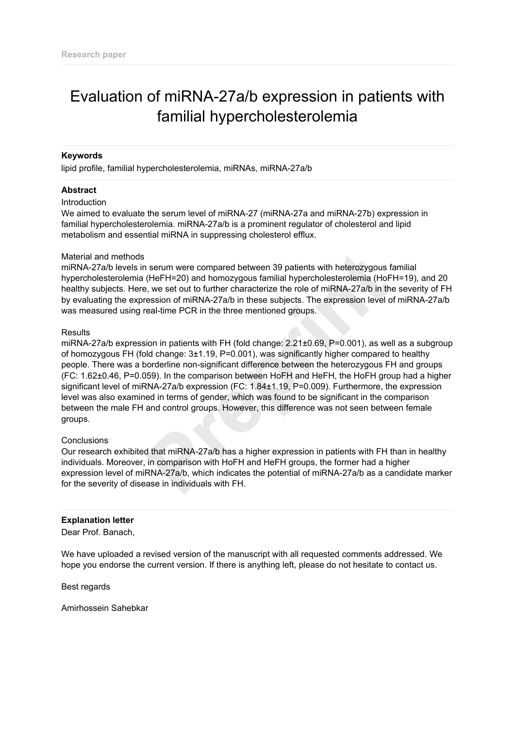# Evaluation of miRNA-27a/b expression in patients with familial hypercholesterolemia

### **Keywords**

lipid profile, familial hypercholesterolemia, miRNAs, miRNA-27a/b

### **Abstract**

#### **Introduction**

We aimed to evaluate the serum level of miRNA-27 (miRNA-27a and miRNA-27b) expression in familial hypercholesterolemia. miRNA-27a/b is a prominent regulator of cholesterol and lipid metabolism and essential miRNA in suppressing cholesterol efflux.

#### Material and methods

miRNA-27a/b levels in serum were compared between 39 patients with heterozygous familial hypercholesterolemia (HeFH=20) and homozygous familial hypercholesterolemia (HoFH=19), and 20 healthy subjects. Here, we set out to further characterize the role of miRNA-27a/b in the severity of FH by evaluating the expression of miRNA-27a/b in these subjects. The expression level of miRNA-27a/b was measured using real-time PCR in the three mentioned groups.

#### **Results**

miRNA-27a/b expression in patients with FH (fold change: 2.21±0.69, P=0.001), as well as a subgroup of homozygous FH (fold change: 3±1.19, P=0.001), was significantly higher compared to healthy people. There was a borderline non-significant difference between the heterozygous FH and groups (FC: 1.62±0.46, P=0.059). In the comparison between HoFH and HeFH, the HoFH group had a higher significant level of miRNA-27a/b expression (FC: 1.84±1.19, P=0.009). Furthermore, the expression level was also examined in terms of gender, which was found to be significant in the comparison between the male FH and control groups. However, this difference was not seen between female groups. n serum were compared between 39 patients with heterozygous (HeFH=20) and homozygous familial hypercholesterolemia (HoF, we set out to further characterize the role of miRNA-27a/b in the ression of miRNA-27a/b in these sub

#### **Conclusions**

Our research exhibited that miRNA-27a/b has a higher expression in patients with FH than in healthy individuals. Moreover, in comparison with HoFH and HeFH groups, the former had a higher expression level of miRNA-27a/b, which indicates the potential of miRNA-27a/b as a candidate marker for the severity of disease in individuals with FH.

### **Explanation letter**

Dear Prof. Banach,

We have uploaded a revised version of the manuscript with all requested comments addressed. We hope you endorse the current version. If there is anything left, please do not hesitate to contact us.

Best regards

Amirhossein Sahebkar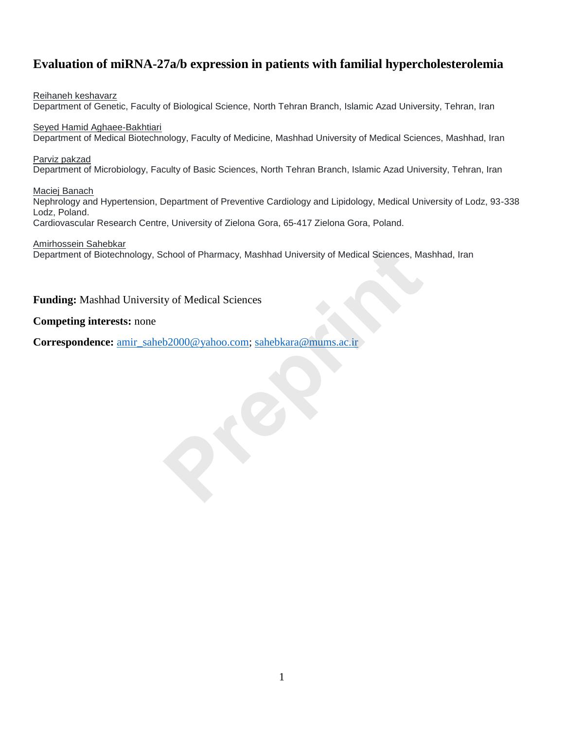# **Evaluation of miRNA-27a/b expression in patients with familial hypercholesterolemia**

Reihaneh keshavarz Department of Genetic, Faculty of Biological Science, North Tehran Branch, Islamic Azad University, Tehran, Iran

Seyed Hamid Aghaee-Bakhtiari Department of Medical Biotechnology, Faculty of Medicine, Mashhad University of Medical Sciences, Mashhad, Iran

Parviz pakzad Department of Microbiology, Faculty of Basic Sciences, North Tehran Branch, Islamic Azad University, Tehran, Iran

Maciej Banach

Nephrology and Hypertension, Department of Preventive Cardiology and Lipidology, Medical University of Lodz, 93-338 Lodz, Poland. Cardiovascular Research Centre, University of Zielona Gora, 65-417 Zielona Gora, Poland.

Amirhossein Sahebkar

Department of Biotechnology, School of Pharmacy, Mashhad University of Medical Sciences, Mashhad, Iran Amirhossein Sahebkar<br>
Department of Biotechnology, School of Pharmacy, Mashhad University of Medical Sciences, Ma<br> **Funding:** Mashhad University of Medical Sciences<br>
Correspondence: <u>amir\_saheb2000@yahoo.com; sahebkara@mum</u>

**Funding:** Mashhad University of Medical Sciences

### **Competing interests:** none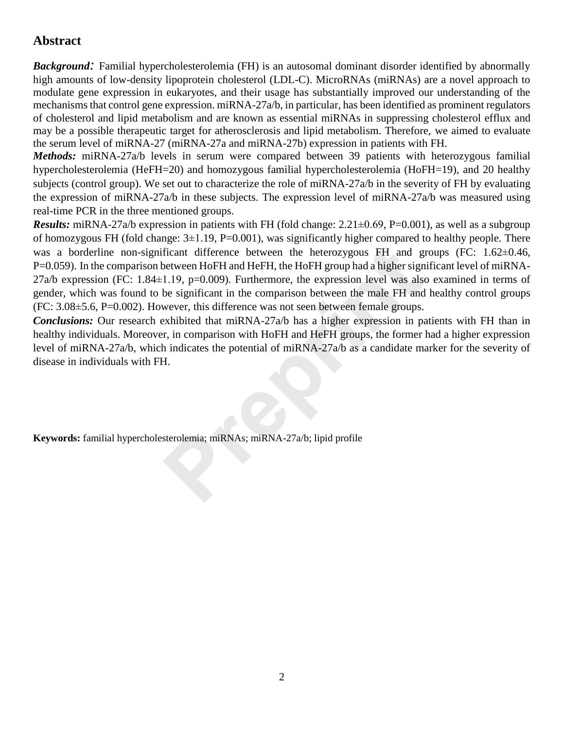# **Abstract**

*Background:* Familial hypercholesterolemia (FH) is an autosomal dominant disorder identified by abnormally high amounts of low-density lipoprotein cholesterol (LDL-C). MicroRNAs (miRNAs) are a novel approach to modulate gene expression in eukaryotes, and their usage has substantially improved our understanding of the mechanisms that control gene expression. miRNA-27a/b, in particular, has been identified as prominent regulators of cholesterol and lipid metabolism and are known as essential miRNAs in suppressing cholesterol efflux and may be a possible therapeutic target for atherosclerosis and lipid metabolism. Therefore, we aimed to evaluate the serum level of miRNA-27 (miRNA-27a and miRNA-27b) expression in patients with FH.

*Methods:* miRNA-27a/b levels in serum were compared between 39 patients with heterozygous familial hypercholesterolemia (HeFH=20) and homozygous familial hypercholesterolemia (HoFH=19), and 20 healthy subjects (control group). We set out to characterize the role of miRNA-27a/b in the severity of FH by evaluating the expression of miRNA-27a/b in these subjects. The expression level of miRNA-27a/b was measured using real-time PCR in the three mentioned groups.

*Results:* miRNA-27a/b expression in patients with FH (fold change: 2.21 $\pm$ 0.69, P=0.001), as well as a subgroup of homozygous FH (fold change:  $3\pm 1.19$ , P=0.001), was significantly higher compared to healthy people. There was a borderline non-significant difference between the heterozygous FH and groups (FC: 1.62 $\pm$ 0.46, P=0.059). In the comparison between HoFH and HeFH, the HoFH group had a higher significant level of miRNA-27a/b expression (FC: 1.84±1.19, p=0.009). Furthermore, the expression level was also examined in terms of gender, which was found to be significant in the comparison between the male FH and healthy control groups (FC: 3.08±5.6, P=0.002). However, this difference was not seen between female groups. was a borderline non-significant difference between the heterozygous FH and g<br>P=0.059). In the comparison between HoFH and HeFH, the HoFH group had a higher sign<br>27a/b expression (FC: 1.84+1.19, p=0.009). Furthermore, the

*Conclusions:* Our research exhibited that miRNA-27a/b has a higher expression in patients with FH than in healthy individuals. Moreover, in comparison with HoFH and HeFH groups, the former had a higher expression level of miRNA-27a/b, which indicates the potential of miRNA-27a/b as a candidate marker for the severity of disease in individuals with FH.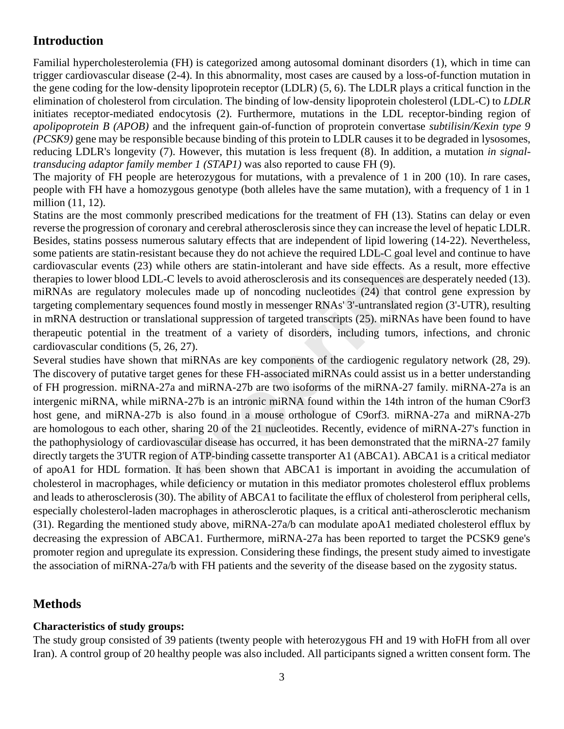# **Introduction**

Familial hypercholesterolemia (FH) is categorized among autosomal dominant disorders (1), which in time can trigger cardiovascular disease (2-4). In this abnormality, most cases are caused by a loss-of-function mutation in the gene coding for the low-density lipoprotein receptor (LDLR) (5, 6). The LDLR plays a critical function in the elimination of cholesterol from circulation. The binding of low-density lipoprotein cholesterol (LDL-C) to *LDLR* initiates receptor-mediated endocytosis (2). Furthermore, mutations in the LDL receptor-binding region of *apolipoprotein B (APOB)* and the infrequent gain-of-function of proprotein convertase *subtilisin/Kexin type 9 (PCSK9)* gene may be responsible because binding of this protein to LDLR causes it to be degraded in lysosomes, reducing LDLR's longevity (7). However, this mutation is less frequent (8). In addition, a mutation *in signaltransducing adaptor family member 1 (STAP1)* was also reported to cause FH (9).

The majority of FH people are heterozygous for mutations, with a prevalence of 1 in 200 (10). In rare cases, people with FH have a homozygous genotype (both alleles have the same mutation), with a frequency of 1 in 1 million (11, 12).

Statins are the most commonly prescribed medications for the treatment of FH (13). Statins can delay or even reverse the progression of coronary and cerebral atherosclerosis since they can increase the level of hepatic LDLR. Besides, statins possess numerous salutary effects that are independent of lipid lowering (14-22). Nevertheless, some patients are statin-resistant because they do not achieve the required LDL-C goal level and continue to have cardiovascular events (23) while others are statin-intolerant and have side effects. As a result, more effective therapies to lower blood LDL-C levels to avoid atherosclerosis and its consequences are desperately needed (13). miRNAs are regulatory molecules made up of noncoding nucleotides (24) that control gene expression by targeting complementary sequences found mostly in messenger RNAs' 3'-untranslated region (3'-UTR), resulting in mRNA destruction or translational suppression of targeted transcripts (25). miRNAs have been found to have therapeutic potential in the treatment of a variety of disorders, including tumors, infections, and chronic cardiovascular conditions (5, 26, 27).

Several studies have shown that miRNAs are key components of the cardiogenic regulatory network (28, 29). The discovery of putative target genes for these FH-associated miRNAs could assist us in a better understanding of FH progression. miRNA-27a and miRNA-27b are two isoforms of the miRNA-27 family. miRNA-27a is an intergenic miRNA, while miRNA-27b is an intronic miRNA found within the 14th intron of the human C9orf3 host gene, and miRNA-27b is also found in a mouse orthologue of C9orf3. miRNA-27a and miRNA-27b are homologous to each other, sharing 20 of the 21 nucleotides. Recently, evidence of miRNA-27's function in the pathophysiology of cardiovascular disease has occurred, it has been demonstrated that the miRNA-27 family directly targets the 3'UTR region of ATP-binding cassette transporter A1 (ABCA1). ABCA1 is a critical mediator of apoA1 for HDL formation. It has been shown that ABCA1 is important in avoiding the accumulation of cholesterol in macrophages, while deficiency or mutation in this mediator promotes cholesterol efflux problems and leads to atherosclerosis (30). The ability of ABCA1 to facilitate the efflux of cholesterol from peripheral cells, especially cholesterol-laden macrophages in atherosclerotic plaques, is a critical anti-atherosclerotic mechanism (31). Regarding the mentioned study above, miRNA-27a/b can modulate apoA1 mediated cholesterol efflux by decreasing the expression of ABCA1. Furthermore, miRNA-27a has been reported to target the PCSK9 gene's promoter region and upregulate its expression. Considering these findings, the present study aimed to investigate the association of miRNA-27a/b with FH patients and the severity of the disease based on the zygosity status. From Systemary Frices that are independent or how fringth of the data and because thy do not achieve the required LDL-C goal levaritie others are statin-intolerant and have side effects. As *-C* levels to avoid atheroscler

## **Methods**

## **Characteristics of study groups:**

The study group consisted of 39 patients (twenty people with heterozygous FH and 19 with HoFH from all over Iran). A control group of 20 healthy people was also included. All participants signed a written consent form. The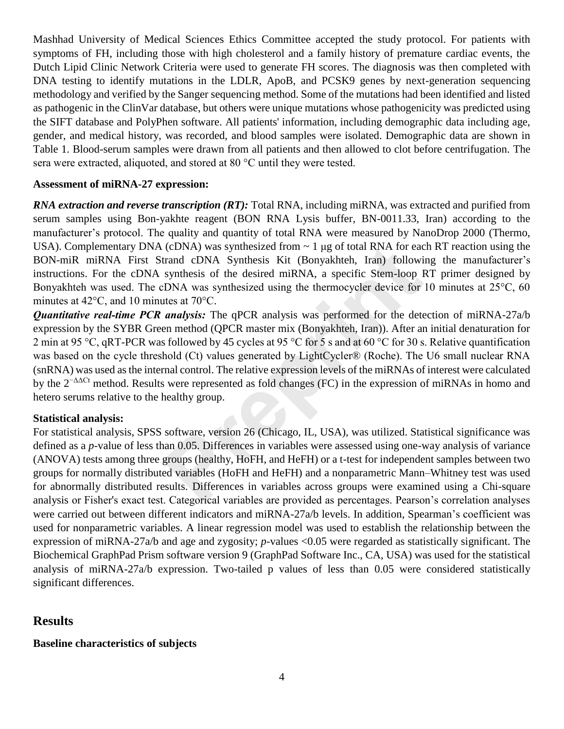Mashhad University of Medical Sciences Ethics Committee accepted the study protocol. For patients with symptoms of FH, including those with high cholesterol and a family history of premature cardiac events, the Dutch Lipid Clinic Network Criteria were used to generate FH scores. The diagnosis was then completed with DNA testing to identify mutations in the LDLR, ApoB, and PCSK9 genes by next-generation sequencing methodology and verified by the Sanger sequencing method. Some of the mutations had been identified and listed as pathogenic in the ClinVar database, but others were unique mutations whose pathogenicity was predicted using the SIFT database and PolyPhen software. All patients' information, including demographic data including age, gender, and medical history, was recorded, and blood samples were isolated. Demographic data are shown in Table 1. Blood-serum samples were drawn from all patients and then allowed to clot before centrifugation. The sera were extracted, aliquoted, and stored at 80 °C until they were tested.

### **Assessment of miRNA-27 expression:**

*RNA extraction and reverse transcription (RT):* Total RNA, including miRNA, was extracted and purified from serum samples using Bon-yakhte reagent (BON RNA Lysis buffer, BN-0011.33, Iran) according to the manufacturer's protocol. The quality and quantity of total RNA were measured by NanoDrop 2000 (Thermo, USA). Complementary DNA (cDNA) was synthesized from  $\sim 1 \mu$ g of total RNA for each RT reaction using the BON-miR miRNA First Strand cDNA Synthesis Kit (Bonyakhteh, Iran) following the manufacturer's instructions. For the cDNA synthesis of the desired miRNA, a specific Stem-loop RT primer designed by Bonyakhteh was used. The cDNA was synthesized using the thermocycler device for 10 minutes at 25°C, 60 minutes at 42°C, and 10 minutes at 70°C.

*Quantitative real-time PCR analysis:* The qPCR analysis was performed for the detection of miRNA-27a/b expression by the SYBR Green method (QPCR master mix (Bonyakhteh, Iran)). After an initial denaturation for 2 min at 95 °C, qRT-PCR was followed by 45 cycles at 95 °C for 5 s and at 60 °C for 30 s. Relative quantification was based on the cycle threshold (Ct) values generated by LightCycler® (Roche). The U6 small nuclear RNA (snRNA) was used as the internal control. The relative expression levels of the miRNAs of interest were calculated by the  $2^{-\Delta\Delta Ct}$  method. Results were represented as fold changes (FC) in the expression of miRNAs in homo and hetero serums relative to the healthy group. (cDNA) was synthesized from  $\sim 1$  µg of total RNA for eactrand cDNA Synthesis Kit (Bonyakhteh, Iran) followi<br>synthesis of the desired miRNA, a specific Stem-loop I<br>DNA was synthesized using the thermocycler device for<br>th

### **Statistical analysis:**

For statistical analysis, SPSS software, version 26 (Chicago, IL, USA), was utilized. Statistical significance was defined as a *p*-value of less than 0.05. Differences in variables were assessed using one-way analysis of variance (ANOVA) tests among three groups (healthy, HoFH, and HeFH) or a t-test for independent samples between two groups for normally distributed variables (HoFH and HeFH) and a nonparametric Mann–Whitney test was used for abnormally distributed results. Differences in variables across groups were examined using a Chi-square analysis or Fisher's exact test. Categorical variables are provided as percentages. Pearson's correlation analyses were carried out between different indicators and miRNA-27a/b levels. In addition, Spearman's coefficient was used for nonparametric variables. A linear regression model was used to establish the relationship between the expression of miRNA-27a/b and age and zygosity; *p*-values <0.05 were regarded as statistically significant. The Biochemical GraphPad Prism software version 9 (GraphPad Software Inc., CA, USA) was used for the statistical analysis of miRNA-27a/b expression. Two-tailed p values of less than 0.05 were considered statistically significant differences.

### **Results**

### **Baseline characteristics of subjects**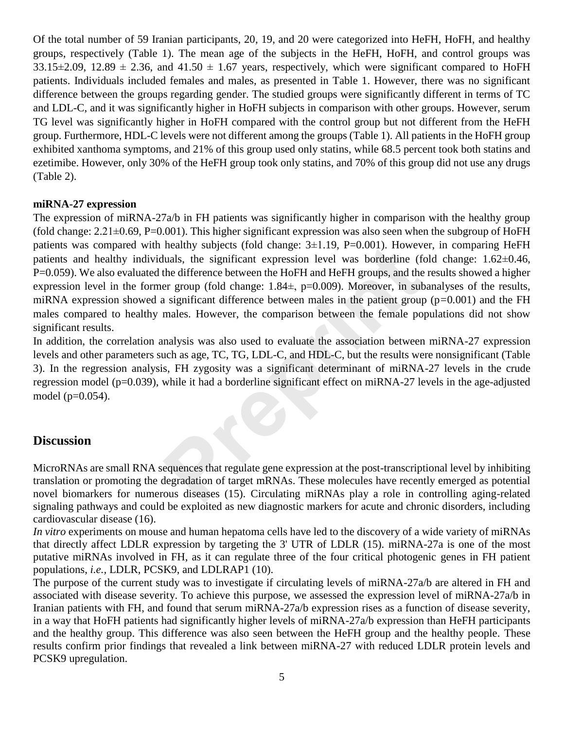Of the total number of 59 Iranian participants, 20, 19, and 20 were categorized into HeFH, HoFH, and healthy groups, respectively (Table 1). The mean age of the subjects in the HeFH, HoFH, and control groups was  $33.15\pm2.09$ ,  $12.89 \pm 2.36$ , and  $41.50 \pm 1.67$  years, respectively, which were significant compared to HoFH patients. Individuals included females and males, as presented in Table 1. However, there was no significant difference between the groups regarding gender. The studied groups were significantly different in terms of TC and LDL-C, and it was significantly higher in HoFH subjects in comparison with other groups. However, serum TG level was significantly higher in HoFH compared with the control group but not different from the HeFH group. Furthermore, HDL-C levels were not different among the groups (Table 1). All patients in the HoFH group exhibited xanthoma symptoms, and 21% of this group used only statins, while 68.5 percent took both statins and ezetimibe. However, only 30% of the HeFH group took only statins, and 70% of this group did not use any drugs (Table 2).

### **miRNA-27 expression**

The expression of miRNA-27a/b in FH patients was significantly higher in comparison with the healthy group (fold change:  $2.21\pm0.69$ , P=0.001). This higher significant expression was also seen when the subgroup of HoFH patients was compared with healthy subjects (fold change:  $3\pm1.19$ , P=0.001). However, in comparing HeFH patients and healthy individuals, the significant expression level was borderline (fold change: 1.62±0.46, P=0.059). We also evaluated the difference between the HoFH and HeFH groups, and the results showed a higher expression level in the former group (fold change:  $1.84\pm$ , p=0.009). Moreover, in subanalyses of the results, miRNA expression showed a significant difference between males in the patient group (p*=*0*.*001) and the FH males compared to healthy males. However, the comparison between the female populations did not show significant results. healthy subjects (fold change: 3±1.19, P=0.001). However<br>tuals, the significant expression level was borderline (for<br>the difference between the HoFH and HeFH groups, and the<br>er group (fold change: 1.84±, p=0.009). Moreover

In addition, the correlation analysis was also used to evaluate the association between miRNA-27 expression levels and other parameters such as age, TC, TG, LDL-C, and HDL-C, but the results were nonsignificant (Table 3). In the regression analysis, FH zygosity was a significant determinant of miRNA-27 levels in the crude regression model (p=0.039), while it had a borderline significant effect on miRNA-27 levels in the age-adjusted model (p=0.054).

### **Discussion**

MicroRNAs are small RNA sequences that regulate gene expression at the post-transcriptional level by inhibiting translation or promoting the degradation of target mRNAs. These molecules have recently emerged as potential novel biomarkers for numerous diseases (15). Circulating miRNAs play a role in controlling aging-related signaling pathways and could be exploited as new diagnostic markers for acute and chronic disorders, including cardiovascular disease (16).

*In vitro* experiments on mouse and human hepatoma cells have led to the discovery of a wide variety of miRNAs that directly affect LDLR expression by targeting the 3' UTR of LDLR (15). miRNA-27a is one of the most putative miRNAs involved in FH, as it can regulate three of the four critical photogenic genes in FH patient populations, *i.e.,* LDLR, PCSK9, and LDLRAP1 (10).

The purpose of the current study was to investigate if circulating levels of miRNA-27a/b are altered in FH and associated with disease severity. To achieve this purpose, we assessed the expression level of miRNA-27a/b in Iranian patients with FH, and found that serum miRNA-27a/b expression rises as a function of disease severity, in a way that HoFH patients had significantly higher levels of miRNA-27a/b expression than HeFH participants and the healthy group. This difference was also seen between the HeFH group and the healthy people. These results confirm prior findings that revealed a link between miRNA-27 with reduced LDLR protein levels and PCSK9 upregulation.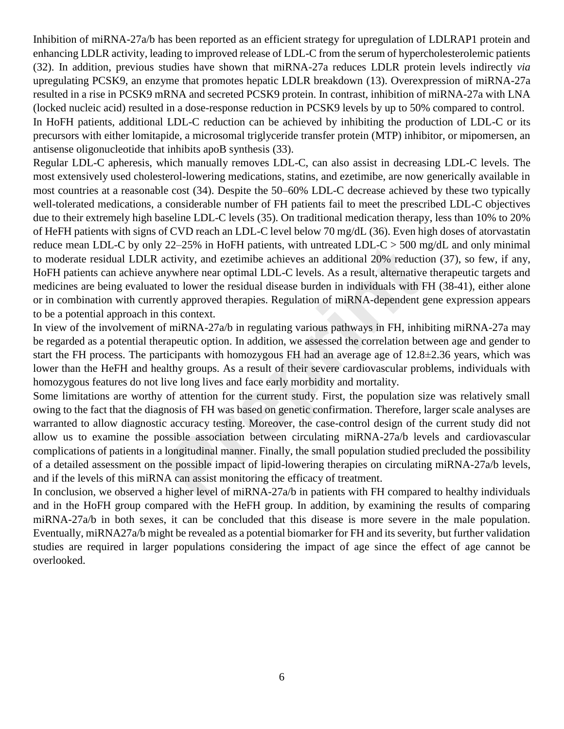Inhibition of miRNA-27a/b has been reported as an efficient strategy for upregulation of LDLRAP1 protein and enhancing LDLR activity, leading to improved release of LDL-C from the serum of hypercholesterolemic patients (32). In addition, previous studies have shown that miRNA-27a reduces LDLR protein levels indirectly *via* upregulating PCSK9, an enzyme that promotes hepatic LDLR breakdown (13). Overexpression of miRNA-27a resulted in a rise in PCSK9 mRNA and secreted PCSK9 protein. In contrast, inhibition of miRNA-27a with LNA (locked nucleic acid) resulted in a dose-response reduction in PCSK9 levels by up to 50% compared to control. In HoFH patients, additional LDL-C reduction can be achieved by inhibiting the production of LDL-C or its precursors with either lomitapide, a microsomal triglyceride transfer protein (MTP) inhibitor, or mipomersen, an antisense oligonucleotide that inhibits apoB synthesis (33).

Regular LDL-C apheresis, which manually removes LDL-C, can also assist in decreasing LDL-C levels. The most extensively used cholesterol-lowering medications, statins, and ezetimibe, are now generically available in most countries at a reasonable cost (34). Despite the 50–60% LDL-C decrease achieved by these two typically well-tolerated medications, a considerable number of FH patients fail to meet the prescribed LDL-C objectives due to their extremely high baseline LDL-C levels (35). On traditional medication therapy, less than 10% to 20% of HeFH patients with signs of CVD reach an LDL-C level below 70 mg/dL (36). Even high doses of atorvastatin reduce mean LDL-C by only 22–25% in HoFH patients, with untreated LDL-C > 500 mg/dL and only minimal to moderate residual LDLR activity, and ezetimibe achieves an additional 20% reduction (37), so few, if any, HoFH patients can achieve anywhere near optimal LDL-C levels. As a result, alternative therapeutic targets and medicines are being evaluated to lower the residual disease burden in individuals with FH (38-41), either alone or in combination with currently approved therapies. Regulation of miRNA-dependent gene expression appears to be a potential approach in this context.

In view of the involvement of miRNA-27a/b in regulating various pathways in FH, inhibiting miRNA-27a may be regarded as a potential therapeutic option. In addition, we assessed the correlation between age and gender to start the FH process. The participants with homozygous FH had an average age of 12.8±2.36 years, which was lower than the HeFH and healthy groups. As a result of their severe cardiovascular problems, individuals with homozygous features do not live long lives and face early morbidity and mortality.

Some limitations are worthy of attention for the current study. First, the population size was relatively small owing to the fact that the diagnosis of FH was based on genetic confirmation. Therefore, larger scale analyses are warranted to allow diagnostic accuracy testing. Moreover, the case-control design of the current study did not allow us to examine the possible association between circulating miRNA-27a/b levels and cardiovascular complications of patients in a longitudinal manner. Finally, the small population studied precluded the possibility of a detailed assessment on the possible impact of lipid-lowering therapies on circulating miRNA-27a/b levels, and if the levels of this miRNA can assist monitoring the efficacy of treatment. 22–25% in HoFH patients, with untreated LDL-C > 500 n activity, and ezetimibe achieves an additional 20% reductiny<br>where near optimal LDL-C levels. As a result, alternative d to lower the residual disease burden in indivi

In conclusion, we observed a higher level of miRNA-27a/b in patients with FH compared to healthy individuals and in the HoFH group compared with the HeFH group. In addition, by examining the results of comparing miRNA-27a/b in both sexes, it can be concluded that this disease is more severe in the male population. Eventually, miRNA27a/b might be revealed as a potential biomarker for FH and its severity, but further validation studies are required in larger populations considering the impact of age since the effect of age cannot be overlooked.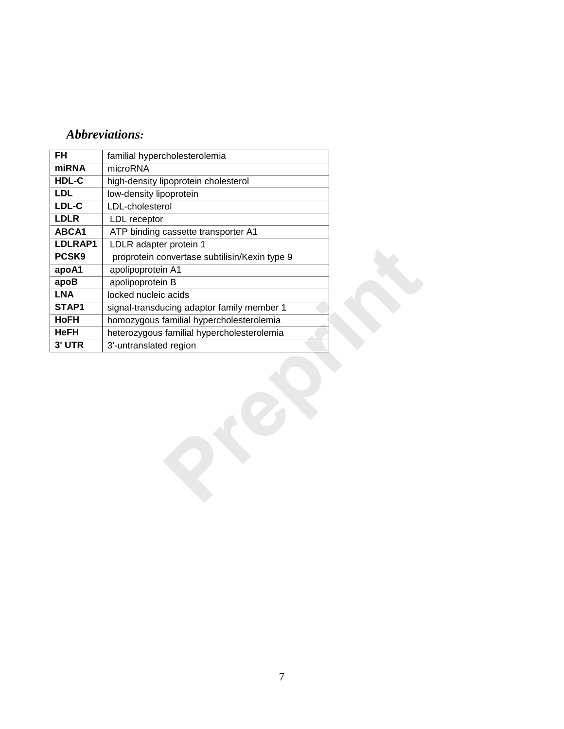# *Abbreviations:*

| familial hypercholesterolemia                           |  |  |  |  |  |  |  |
|---------------------------------------------------------|--|--|--|--|--|--|--|
| microRNA                                                |  |  |  |  |  |  |  |
| high-density lipoprotein cholesterol                    |  |  |  |  |  |  |  |
| low-density lipoprotein                                 |  |  |  |  |  |  |  |
| LDL-cholesterol                                         |  |  |  |  |  |  |  |
| LDL receptor                                            |  |  |  |  |  |  |  |
| ABCA1<br>ATP binding cassette transporter A1<br>LDLRAP1 |  |  |  |  |  |  |  |
| LDLR adapter protein 1                                  |  |  |  |  |  |  |  |
| proprotein convertase subtilisin/Kexin type 9<br>PCSK9  |  |  |  |  |  |  |  |
| apolipoprotein A1<br>apoA <sub>1</sub>                  |  |  |  |  |  |  |  |
| apolipoprotein B                                        |  |  |  |  |  |  |  |
| locked nucleic acids                                    |  |  |  |  |  |  |  |
| signal-transducing adaptor family member 1              |  |  |  |  |  |  |  |
| homozygous familial hypercholesterolemia                |  |  |  |  |  |  |  |
| heterozygous familial hypercholesterolemia              |  |  |  |  |  |  |  |
| 3'-untranslated region                                  |  |  |  |  |  |  |  |
|                                                         |  |  |  |  |  |  |  |
|                                                         |  |  |  |  |  |  |  |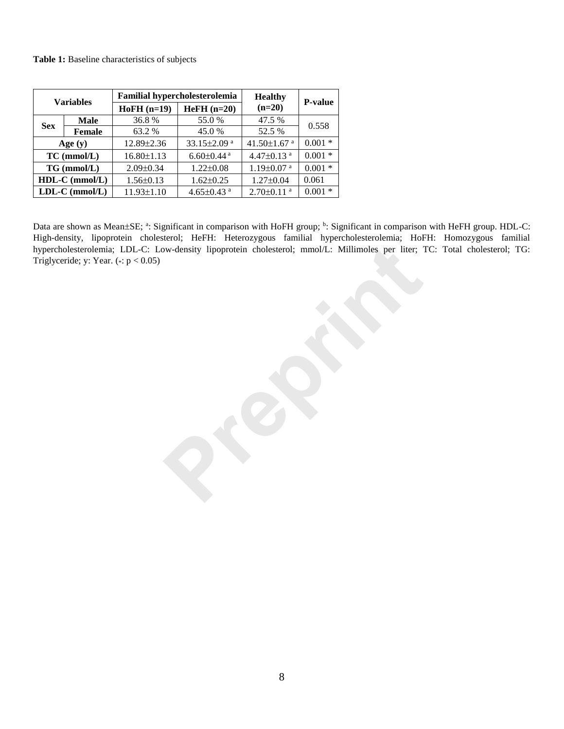#### **Table 1:** Baseline characteristics of subjects

| <b>Variables</b>  |               |                  | Familial hypercholesterolemia | <b>Healthy</b>               | <b>P-value</b> |  |
|-------------------|---------------|------------------|-------------------------------|------------------------------|----------------|--|
|                   |               | $HoFH$ (n=19)    | $HeFH (n=20)$                 | $(n=20)$                     |                |  |
| <b>Sex</b>        | Male          | 36.8%            | 55.0 %                        | 47.5 %                       | 0.558          |  |
|                   | <b>Female</b> | 63.2 %           | 45.0 %                        | 52.5 %                       |                |  |
| Age $(y)$         |               | $12.89 \pm 2.36$ | 33.15±2.09 <sup>a</sup>       | 41.50 $\pm$ 1.67 $a$         | $0.001*$       |  |
| $TC$ (mmol/ $L$ ) |               | $16.80 \pm 1.13$ | $6.60 \pm 0.44$ <sup>a</sup>  | 4.47 $\pm$ 0.13 $^{\rm a}$   | $0.001 *$      |  |
| $TG \, (mmol/L)$  |               | $2.09 \pm 0.34$  | $1.22 \pm 0.08$               | $1.19 \pm 0.07$ <sup>a</sup> | $0.001 *$      |  |
| $HDL-C$ (mmol/L)  |               | $1.56 \pm 0.13$  | $1.62 \pm 0.25$               | $1.27 \pm 0.04$              | 0.061          |  |
| $LDL-C (mmol/L)$  |               | 11.93±1.10       | 4.65 $\pm$ 0.43 $a$           | $2.70 \pm 0.11$ <sup>a</sup> | $0.001*$       |  |

Data are shown as Mean±SE; <sup>a</sup>: Significant in comparison with HoFH group; <sup>b</sup>: Significant in comparison with HeFH group. HDL-C: High-density, lipoprotein cholesterol; HeFH: Heterozygous familial hypercholesterolemia; HoFH: Homozygous familial hypercholesterolemia; LDL-C: Low-density lipoprotein cholesterol; mmol/L: Millimoles per liter; TC: Total cholesterol; TG: Triglyceride; y: Year.  $(*: p < 0.05)$ proprotein cholesterol; mmol/L: Millimoles per liter; ?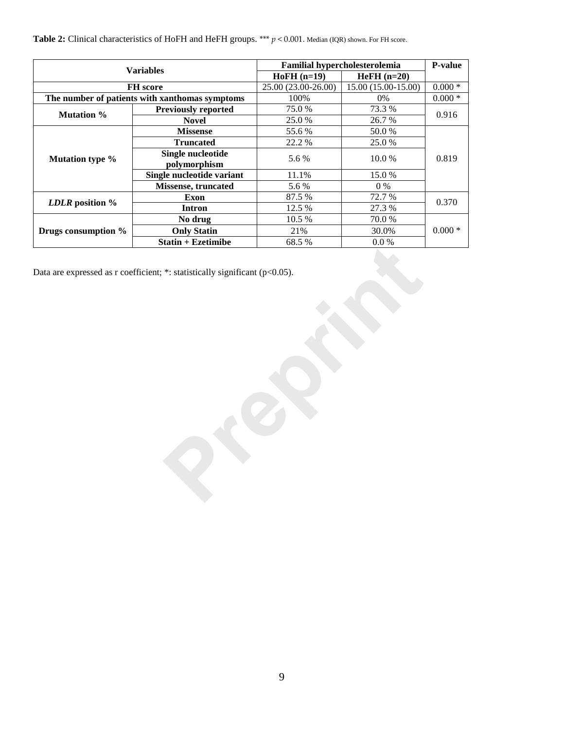| <b>Variables</b>       |                                                | Familial hypercholesterolemia | P-value             |             |  |
|------------------------|------------------------------------------------|-------------------------------|---------------------|-------------|--|
|                        |                                                | $HoFH$ (n=19)                 | $HeFH$ (n=20)       |             |  |
|                        | FH score                                       | 25.00 (23.00-26.00)           | 15.00 (15.00-15.00) | $0.000 *$   |  |
|                        | The number of patients with xanthomas symptoms | 100%                          | $0\%$               | $0.000 *$   |  |
| Mutation %             | Previously reported                            | 75.0%                         | 73.3 %              | 0.916       |  |
|                        | <b>Novel</b>                                   | 25.0%                         | 26.7%               |             |  |
|                        | <b>Missense</b>                                | 55.6%                         | 50.0%               |             |  |
|                        | <b>Truncated</b>                               | 22.2 %                        | 25.0%               |             |  |
| <b>Mutation type %</b> | <b>Single nucleotide</b><br>polymorphism       | 5.6%                          | $10.0\ \%$          | 0.819       |  |
|                        | Single nucleotide variant                      | 11.1%                         | 15.0%               |             |  |
|                        | Missense, truncated                            | 5.6 %                         | $0\ \%$             |             |  |
|                        | <b>Exon</b>                                    | 87.5 %                        | 72.7%               |             |  |
| LDLR position %        | <b>Intron</b>                                  | 12.5 %                        | 27.3 %              | 0.370       |  |
|                        | No drug                                        | 10.5 %                        | 70.0%               |             |  |
| Drugs consumption %    | <b>Only Statin</b>                             | 21%                           | 30.0%               | $0.000\; *$ |  |
|                        | $Statin + Exetimibe$                           | 68.5%                         | $0.0\ \%$           |             |  |
|                        |                                                |                               |                     |             |  |
|                        |                                                |                               |                     |             |  |

**Table 2:** Clinical characteristics of HoFH and HeFH groups. \*\*\* *p* < 0.001. Median (IQR) shown. For FH score.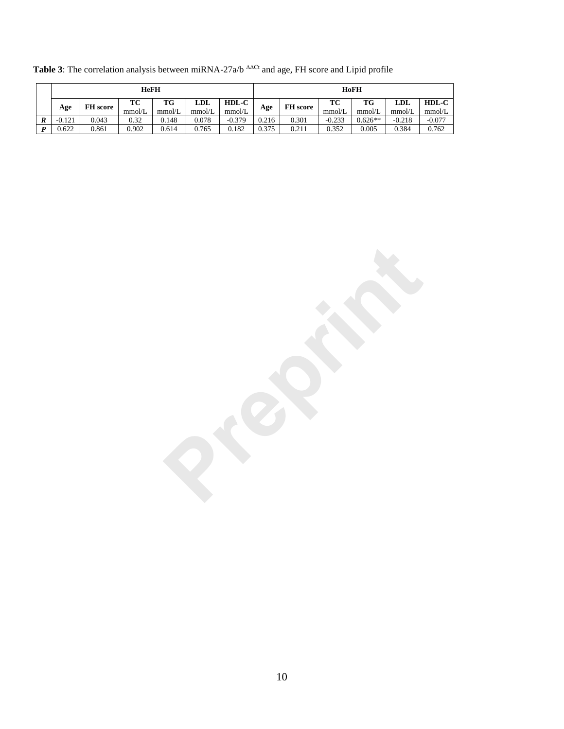|   | <b>HeFH</b> |                 |              |              |               |                   | HoFH  |                 |              |              |               |                   |
|---|-------------|-----------------|--------------|--------------|---------------|-------------------|-------|-----------------|--------------|--------------|---------------|-------------------|
|   | Age         | <b>FH</b> score | TC<br>mmol/L | TG<br>mmol/L | LDL<br>mmol/L | $HDL-C$<br>mmol/L | Age   | <b>FH</b> score | ТC<br>mmol/L | TG<br>mmol/L | LDL<br>mmol/L | $HDL-C$<br>mmol/L |
| л | $-0.121$    | 0.043           | 0.32         | 0.148        | 0.078         | $-0.379$          | 0.216 | 0.301           | $-0.233$     | $0.626**$    | $-0.218$      | $-0.077$          |
|   | 0.622       | 0.861           | 0.902        | 0.614        | 0.765         | 0.182             | 0.375 | 0.211           | 0.352        | 0.005        | 0.384         | 0.762             |

Table 3: The correlation analysis between miRNA-27a/b <sup>ΔΔCt</sup> and age, FH score and Lipid profile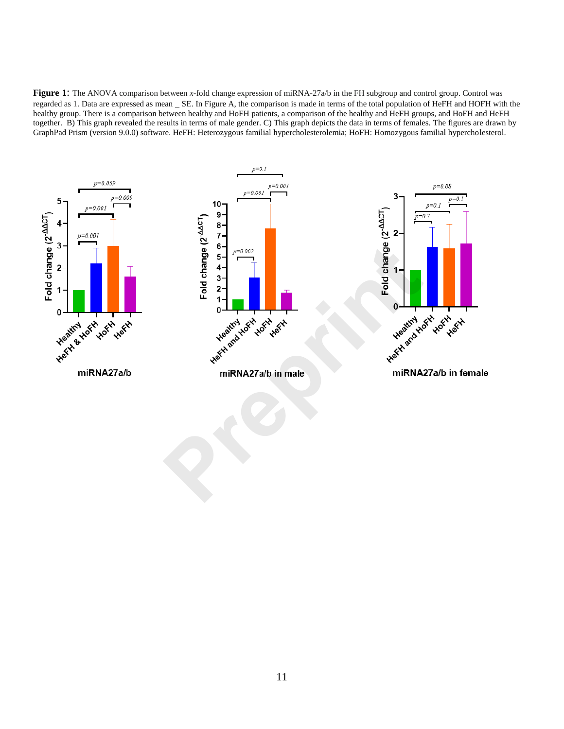**Figure 1**: The ANOVA comparison between *x*-fold change expression of miRNA-27a/b in the FH subgroup and control group. Control was regarded as 1. Data are expressed as mean \_ SE. In Figure A, the comparison is made in terms of the total population of HeFH and HOFH with the healthy group. There is a comparison between healthy and HoFH patients, a comparison of the healthy and HeFH groups, and HoFH and HeFH together. B) This graph revealed the results in terms of male gender. C) This graph depicts the data in terms of females. The figures are drawn by GraphPad Prism (version 9.0.0) software. HeFH: Heterozygous familial hypercholesterolemia; HoFH: Homozygous familial hypercholesterol.

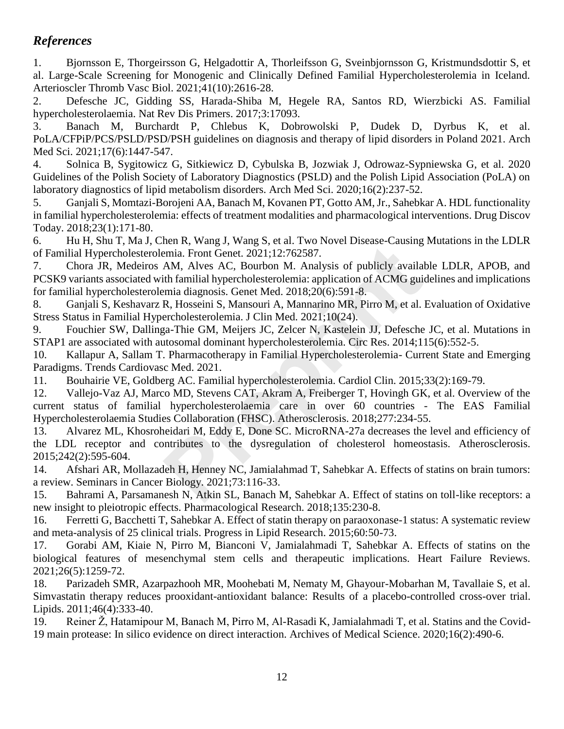# *References*

1. Bjornsson E, Thorgeirsson G, Helgadottir A, Thorleifsson G, Sveinbjornsson G, Kristmundsdottir S, et al. Large-Scale Screening for Monogenic and Clinically Defined Familial Hypercholesterolemia in Iceland. Arterioscler Thromb Vasc Biol. 2021;41(10):2616-28.

2. Defesche JC, Gidding SS, Harada-Shiba M, Hegele RA, Santos RD, Wierzbicki AS. Familial hypercholesterolaemia. Nat Rev Dis Primers. 2017;3:17093.

3. Banach M, Burchardt P, Chlebus K, Dobrowolski P, Dudek D, Dyrbus K, et al. PoLA/CFPiP/PCS/PSLD/PSD/PSH guidelines on diagnosis and therapy of lipid disorders in Poland 2021. Arch Med Sci. 2021;17(6):1447-547.

4. Solnica B, Sygitowicz G, Sitkiewicz D, Cybulska B, Jozwiak J, Odrowaz-Sypniewska G, et al. 2020 Guidelines of the Polish Society of Laboratory Diagnostics (PSLD) and the Polish Lipid Association (PoLA) on laboratory diagnostics of lipid metabolism disorders. Arch Med Sci. 2020;16(2):237-52.

5. Ganjali S, Momtazi-Borojeni AA, Banach M, Kovanen PT, Gotto AM, Jr., Sahebkar A. HDL functionality in familial hypercholesterolemia: effects of treatment modalities and pharmacological interventions. Drug Discov Today. 2018;23(1):171-80.

6. Hu H, Shu T, Ma J, Chen R, Wang J, Wang S, et al. Two Novel Disease-Causing Mutations in the LDLR of Familial Hypercholesterolemia. Front Genet. 2021;12:762587.

7. Chora JR, Medeiros AM, Alves AC, Bourbon M. Analysis of publicly available LDLR, APOB, and PCSK9 variants associated with familial hypercholesterolemia: application of ACMG guidelines and implications for familial hypercholesterolemia diagnosis. Genet Med. 2018;20(6):591-8.

8. Ganjali S, Keshavarz R, Hosseini S, Mansouri A, Mannarino MR, Pirro M, et al. Evaluation of Oxidative Stress Status in Familial Hypercholesterolemia. J Clin Med. 2021;10(24).

9. Fouchier SW, Dallinga-Thie GM, Meijers JC, Zelcer N, Kastelein JJ, Defesche JC, et al. Mutations in STAP1 are associated with autosomal dominant hypercholesterolemia. Circ Res. 2014;115(6):552-5.

10. Kallapur A, Sallam T. Pharmacotherapy in Familial Hypercholesterolemia- Current State and Emerging Paradigms. Trends Cardiovasc Med. 2021.

11. Bouhairie VE, Goldberg AC. Familial hypercholesterolemia. Cardiol Clin. 2015;33(2):169-79.

12. Vallejo-Vaz AJ, Marco MD, Stevens CAT, Akram A, Freiberger T, Hovingh GK, et al. Overview of the current status of familial hypercholesterolaemia care in over 60 countries - The EAS Familial Hypercholesterolaemia Studies Collaboration (FHSC). Atherosclerosis. 2018;277:234-55. nen K, wang 3, wang S, et al. Ywo Noveci Disease-Causing<br>Premia. Front Genet. 2021;12:762587.<br>AM, Alves AC, Bourbon M. Analysis of publicly availal<br>ith familial hypercholesterolemia: application of ACMG gui<br>Principal diffi

13. Alvarez ML, Khosroheidari M, Eddy E, Done SC. MicroRNA-27a decreases the level and efficiency of the LDL receptor and contributes to the dysregulation of cholesterol homeostasis. Atherosclerosis. 2015;242(2):595-604.

14. Afshari AR, Mollazadeh H, Henney NC, Jamialahmad T, Sahebkar A. Effects of statins on brain tumors: a review. Seminars in Cancer Biology. 2021;73:116-33.

15. Bahrami A, Parsamanesh N, Atkin SL, Banach M, Sahebkar A. Effect of statins on toll-like receptors: a new insight to pleiotropic effects. Pharmacological Research. 2018;135:230-8.

16. Ferretti G, Bacchetti T, Sahebkar A. Effect of statin therapy on paraoxonase-1 status: A systematic review and meta-analysis of 25 clinical trials. Progress in Lipid Research. 2015;60:50-73.

17. Gorabi AM, Kiaie N, Pirro M, Bianconi V, Jamialahmadi T, Sahebkar A. Effects of statins on the biological features of mesenchymal stem cells and therapeutic implications. Heart Failure Reviews. 2021;26(5):1259-72.

18. Parizadeh SMR, Azarpazhooh MR, Moohebati M, Nematy M, Ghayour-Mobarhan M, Tavallaie S, et al. Simvastatin therapy reduces prooxidant-antioxidant balance: Results of a placebo-controlled cross-over trial. Lipids. 2011;46(4):333-40.

19. Reiner Ž, Hatamipour M, Banach M, Pirro M, Al-Rasadi K, Jamialahmadi T, et al. Statins and the Covid-19 main protease: In silico evidence on direct interaction. Archives of Medical Science. 2020;16(2):490-6.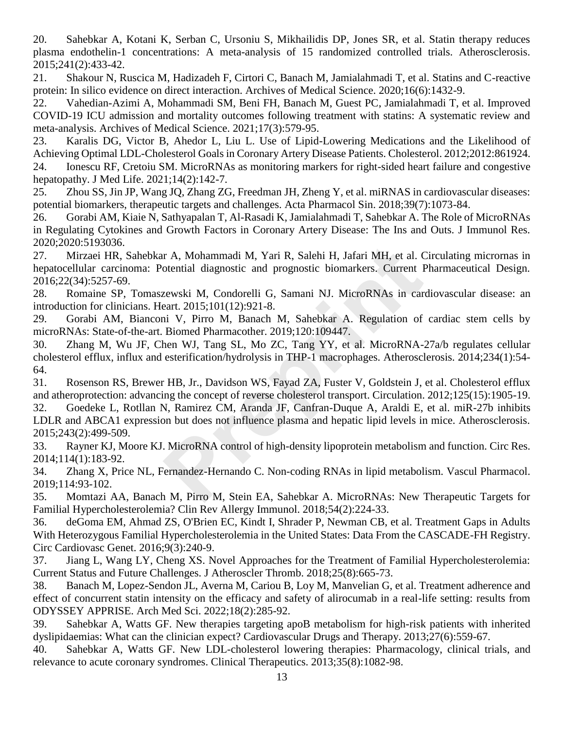20. Sahebkar A, Kotani K, Serban C, Ursoniu S, Mikhailidis DP, Jones SR, et al. Statin therapy reduces plasma endothelin-1 concentrations: A meta-analysis of 15 randomized controlled trials. Atherosclerosis. 2015;241(2):433-42.

21. Shakour N, Ruscica M, Hadizadeh F, Cirtori C, Banach M, Jamialahmadi T, et al. Statins and C-reactive protein: In silico evidence on direct interaction. Archives of Medical Science. 2020;16(6):1432-9.

22. Vahedian-Azimi A, Mohammadi SM, Beni FH, Banach M, Guest PC, Jamialahmadi T, et al. Improved COVID-19 ICU admission and mortality outcomes following treatment with statins: A systematic review and meta-analysis. Archives of Medical Science. 2021;17(3):579-95.

23. Karalis DG, Victor B, Ahedor L, Liu L. Use of Lipid-Lowering Medications and the Likelihood of Achieving Optimal LDL-Cholesterol Goals in Coronary Artery Disease Patients. Cholesterol. 2012;2012:861924. 24. Ionescu RF, Cretoiu SM. MicroRNAs as monitoring markers for right-sided heart failure and congestive hepatopathy. J Med Life. 2021;14(2):142-7.

25. Zhou SS, Jin JP, Wang JQ, Zhang ZG, Freedman JH, Zheng Y, et al. miRNAS in cardiovascular diseases: potential biomarkers, therapeutic targets and challenges. Acta Pharmacol Sin. 2018;39(7):1073-84.

26. Gorabi AM, Kiaie N, Sathyapalan T, Al-Rasadi K, Jamialahmadi T, Sahebkar A. The Role of MicroRNAs in Regulating Cytokines and Growth Factors in Coronary Artery Disease: The Ins and Outs. J Immunol Res. 2020;2020:5193036.

27. Mirzaei HR, Sahebkar A, Mohammadi M, Yari R, Salehi H, Jafari MH, et al. Circulating micrornas in hepatocellular carcinoma: Potential diagnostic and prognostic biomarkers. Current Pharmaceutical Design. 2016;22(34):5257-69.

28. Romaine SP, Tomaszewski M, Condorelli G, Samani NJ. MicroRNAs in cardiovascular disease: an introduction for clinicians. Heart. 2015;101(12):921-8.

29. Gorabi AM, Bianconi V, Pirro M, Banach M, Sahebkar A. Regulation of cardiac stem cells by microRNAs: State-of-the-art. Biomed Pharmacother. 2019;120:109447.

30. Zhang M, Wu JF, Chen WJ, Tang SL, Mo ZC, Tang YY, et al. MicroRNA-27a/b regulates cellular cholesterol efflux, influx and esterification/hydrolysis in THP-1 macrophages. Atherosclerosis. 2014;234(1):54- 64. Ir A, Mohammadi M, Yari R, Salehi H, Jafari MH, et al. Contential diagnostic and prognostic biomarkers. Current I<br>zewski M, Condorelli G, Samani NJ. MicroRNAs in car<br>eart. 2015;101(12):921-8.<br>ni V, Pirro M, Banach M, Saheb

31. Rosenson RS, Brewer HB, Jr., Davidson WS, Fayad ZA, Fuster V, Goldstein J, et al. Cholesterol efflux and atheroprotection: advancing the concept of reverse cholesterol transport. Circulation. 2012;125(15):1905-19.

32. Goedeke L, Rotllan N, Ramirez CM, Aranda JF, Canfran-Duque A, Araldi E, et al. miR-27b inhibits LDLR and ABCA1 expression but does not influence plasma and hepatic lipid levels in mice. Atherosclerosis. 2015;243(2):499-509.

33. Rayner KJ, Moore KJ. MicroRNA control of high-density lipoprotein metabolism and function. Circ Res. 2014;114(1):183-92.

34. Zhang X, Price NL, Fernandez-Hernando C. Non-coding RNAs in lipid metabolism. Vascul Pharmacol. 2019;114:93-102.

35. Momtazi AA, Banach M, Pirro M, Stein EA, Sahebkar A. MicroRNAs: New Therapeutic Targets for Familial Hypercholesterolemia? Clin Rev Allergy Immunol. 2018;54(2):224-33.

36. deGoma EM, Ahmad ZS, O'Brien EC, Kindt I, Shrader P, Newman CB, et al. Treatment Gaps in Adults With Heterozygous Familial Hypercholesterolemia in the United States: Data From the CASCADE-FH Registry. Circ Cardiovasc Genet. 2016;9(3):240-9.

37. Jiang L, Wang LY, Cheng XS. Novel Approaches for the Treatment of Familial Hypercholesterolemia: Current Status and Future Challenges. J Atheroscler Thromb. 2018;25(8):665-73.

38. Banach M, Lopez-Sendon JL, Averna M, Cariou B, Loy M, Manvelian G, et al. Treatment adherence and effect of concurrent statin intensity on the efficacy and safety of alirocumab in a real-life setting: results from ODYSSEY APPRISE. Arch Med Sci. 2022;18(2):285-92.

39. Sahebkar A, Watts GF. New therapies targeting apoB metabolism for high-risk patients with inherited dyslipidaemias: What can the clinician expect? Cardiovascular Drugs and Therapy. 2013;27(6):559-67.

40. Sahebkar A, Watts GF. New LDL-cholesterol lowering therapies: Pharmacology, clinical trials, and relevance to acute coronary syndromes. Clinical Therapeutics. 2013;35(8):1082-98.